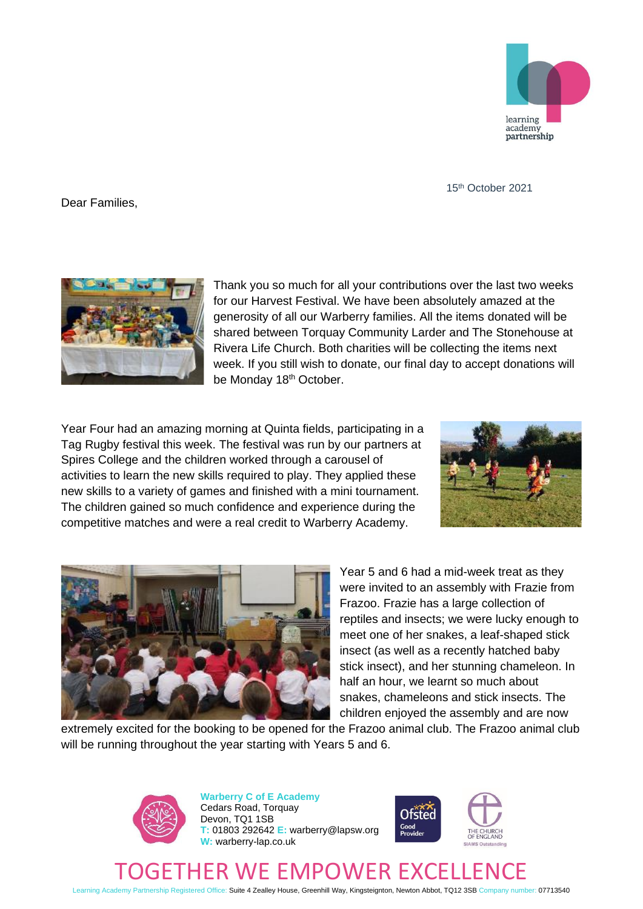

the contract of the contract of the contract of the contract of the contract of the contract of the contract o 15<sup>th</sup> October 2021

Dear Families,



Thank you so much for all your contributions over the last two weeks for our Harvest Festival. We have been absolutely amazed at the generosity of all our Warberry families. All the items donated will be shared between Torquay Community Larder and The Stonehouse at Rivera Life Church. Both charities will be collecting the items next week. If you still wish to donate, our final day to accept donations will be Monday 18<sup>th</sup> October.

Year Four had an amazing morning at Quinta fields, participating in a Tag Rugby festival this week. The festival was run by our partners at Spires College and the children worked through a carousel of activities to learn the new skills required to play. They applied these new skills to a variety of games and finished with a mini tournament. The children gained so much confidence and experience during the competitive matches and were a real credit to Warberry Academy.





Year 5 and 6 had a mid-week treat as they were invited to an assembly with Frazie from Frazoo. Frazie has a large collection of reptiles and insects; we were lucky enough to meet one of her snakes, a leaf-shaped stick insect (as well as a recently hatched baby stick insect), and her stunning chameleon. In half an hour, we learnt so much about snakes, chameleons and stick insects. The children enjoyed the assembly and are now

extremely excited for the booking to be opened for the Frazoo animal club. The Frazoo animal club will be running throughout the year starting with Years 5 and 6.



**Warberry C of E Academy** Cedars Road, Torquay Devon, TQ1 1SB **T:** 01803 292642 **E:** warberry@lapsw.org **W:** warberry-lap.co.uk





## WE EMPOWER EXC

Learning Academy Partnership Registered Office: Suite 4 Zealley House, Greenhill Way, Kingsteignton, Newton Abbot, TQ12 3SB Company number: 07713540